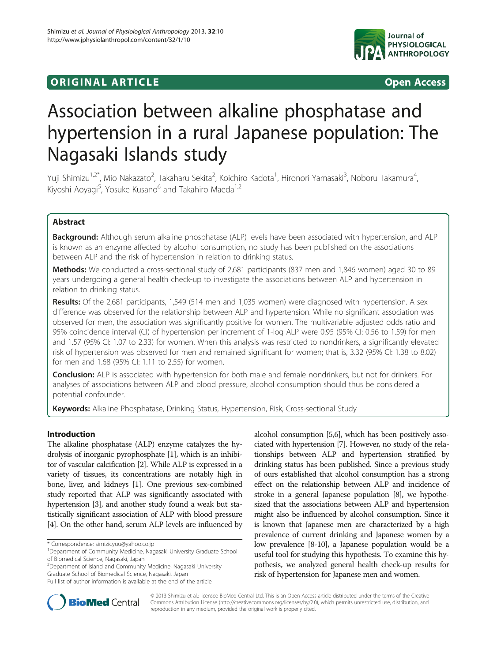# **ORIGINAL ARTICLE CONSUMING A LIGACION** CONSUMING A LIGACION CONSUMING A LIGACION CONSUMING A LIGACION CONSUMING A LIGACION CONSUMING A LIGACION CONSUMING A LIGACION CONSUMING A LIGACION CONSUMING A LIGACION CONSUMING A



# Association between alkaline phosphatase and hypertension in a rural Japanese population: The Nagasaki Islands study

Yuji Shimizu<sup>1,2\*</sup>, Mio Nakazato<sup>2</sup>, Takaharu Sekita<sup>2</sup>, Koichiro Kadota<sup>1</sup>, Hironori Yamasaki<sup>3</sup>, Noboru Takamura<sup>4</sup> , Kiyoshi Aoyagi<sup>5</sup>, Yosuke Kusano<sup>6</sup> and Takahiro Maeda<sup>1,2</sup>

# Abstract

Background: Although serum alkaline phosphatase (ALP) levels have been associated with hypertension, and ALP is known as an enzyme affected by alcohol consumption, no study has been published on the associations between ALP and the risk of hypertension in relation to drinking status.

Methods: We conducted a cross-sectional study of 2,681 participants (837 men and 1,846 women) aged 30 to 89 years undergoing a general health check-up to investigate the associations between ALP and hypertension in relation to drinking status.

Results: Of the 2,681 participants, 1,549 (514 men and 1,035 women) were diagnosed with hypertension. A sex difference was observed for the relationship between ALP and hypertension. While no significant association was observed for men, the association was significantly positive for women. The multivariable adjusted odds ratio and 95% coincidence interval (CI) of hypertension per increment of 1-log ALP were 0.95 (95% CI: 0.56 to 1.59) for men and 1.57 (95% CI: 1.07 to 2.33) for women. When this analysis was restricted to nondrinkers, a significantly elevated risk of hypertension was observed for men and remained significant for women; that is, 3.32 (95% CI: 1.38 to 8.02) for men and 1.68 (95% CI: 1.11 to 2.55) for women.

**Conclusion:** ALP is associated with hypertension for both male and female nondrinkers, but not for drinkers. For analyses of associations between ALP and blood pressure, alcohol consumption should thus be considered a potential confounder.

Keywords: Alkaline Phosphatase, Drinking Status, Hypertension, Risk, Cross-sectional Study

# Introduction

The alkaline phosphatase (ALP) enzyme catalyzes the hydrolysis of inorganic pyrophosphate [[1](#page-6-0)], which is an inhibitor of vascular calcification [[2](#page-6-0)]. While ALP is expressed in a variety of tissues, its concentrations are notably high in bone, liver, and kidneys [[1](#page-6-0)]. One previous sex-combined study reported that ALP was significantly associated with hypertension [[3](#page-6-0)], and another study found a weak but statistically significant association of ALP with blood pressure [[4](#page-6-0)]. On the other hand, serum ALP levels are influenced by

2 Department of Island and Community Medicine, Nagasaki University Graduate School of Biomedical Science, Nagasaki, Japan

alcohol consumption [\[5,6\]](#page-6-0), which has been positively associated with hypertension [[7\]](#page-6-0). However, no study of the relationships between ALP and hypertension stratified by drinking status has been published. Since a previous study of ours established that alcohol consumption has a strong effect on the relationship between ALP and incidence of stroke in a general Japanese population [\[8\]](#page-6-0), we hypothesized that the associations between ALP and hypertension might also be influenced by alcohol consumption. Since it is known that Japanese men are characterized by a high prevalence of current drinking and Japanese women by a low prevalence [\[8-10\]](#page-6-0), a Japanese population would be a useful tool for studying this hypothesis. To examine this hypothesis, we analyzed general health check-up results for risk of hypertension for Japanese men and women.



© 2013 Shimizu et al.; licensee BioMed Central Ltd. This is an Open Access article distributed under the terms of the Creative Commons Attribution License [\(http://creativecommons.org/licenses/by/2.0\)](http://creativecommons.org/licenses/by/2.0), which permits unrestricted use, distribution, and reproduction in any medium, provided the original work is properly cited.

<sup>\*</sup> Correspondence: [simizicyuu@yahoo.co.jp](mailto:simizicyuu@yahoo.co.jp) <sup>1</sup>

<sup>&</sup>lt;sup>1</sup>Department of Community Medicine, Nagasaki University Graduate School of Biomedical Science, Nagasaki, Japan

Full list of author information is available at the end of the article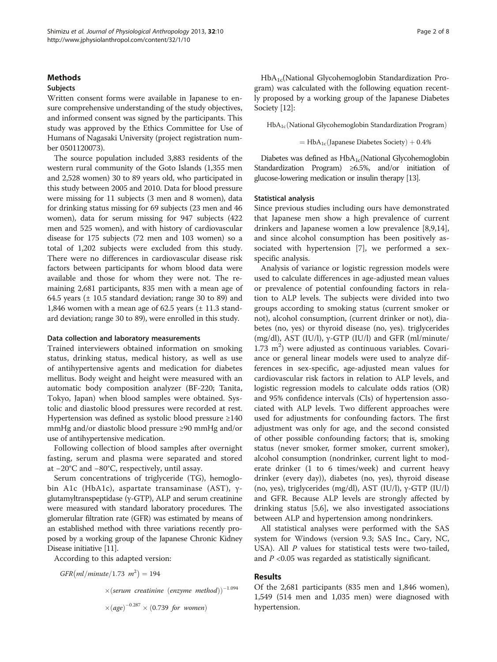# Methods

# Subjects

Written consent forms were available in Japanese to ensure comprehensive understanding of the study objectives, and informed consent was signed by the participants. This study was approved by the Ethics Committee for Use of Humans of Nagasaki University (project registration number 0501120073).

The source population included 3,883 residents of the western rural community of the Goto Islands (1,355 men and 2,528 women) 30 to 89 years old, who participated in this study between 2005 and 2010. Data for blood pressure were missing for 11 subjects (3 men and 8 women), data for drinking status missing for 69 subjects (23 men and 46 women), data for serum missing for 947 subjects (422 men and 525 women), and with history of cardiovascular disease for 175 subjects (72 men and 103 women) so a total of 1,202 subjects were excluded from this study. There were no differences in cardiovascular disease risk factors between participants for whom blood data were available and those for whom they were not. The remaining 2,681 participants, 835 men with a mean age of 64.5 years  $(\pm 10.5 \text{ standard deviation}; \text{range } 30 \text{ to } 89)$  and 1,846 women with a mean age of 62.5 years  $(\pm 11.3 \text{ stand} - \text{m})$ ard deviation; range 30 to 89), were enrolled in this study.

#### Data collection and laboratory measurements

Trained interviewers obtained information on smoking status, drinking status, medical history, as well as use of antihypertensive agents and medication for diabetes mellitus. Body weight and height were measured with an automatic body composition analyzer (BF-220; Tanita, Tokyo, Japan) when blood samples were obtained. Systolic and diastolic blood pressures were recorded at rest. Hypertension was defined as systolic blood pressure ≥140 mmHg and/or diastolic blood pressure ≥90 mmHg and/or use of antihypertensive medication.

Following collection of blood samples after overnight fasting, serum and plasma were separated and stored at −20°C and −80°C, respectively, until assay.

Serum concentrations of triglyceride (TG), hemoglobin A1c (HbA1c), aspartate transaminase (AST), γglutamyltranspeptidase (γ-GTP), ALP and serum creatinine were measured with standard laboratory procedures. The glomerular filtration rate (GFR) was estimated by means of an established method with three variations recently proposed by a working group of the Japanese Chronic Kidney Disease initiative [[11](#page-6-0)].

According to this adapted version:

 $GFR(ml/minute/1.73 m^2) = 194$ 

 $\times$ (serum creatinine (enzyme method))<sup>-1.094</sup>  $\times (age)^{-0.287} \times (0.739$  for women)

HbA1c(National Glycohemoglobin Standardization Program) was calculated with the following equation recently proposed by a working group of the Japanese Diabetes Society [[12](#page-6-0)]:

 $HbA_{1c}$ (National Glycohemoglobin Standardization Program)

$$
= HbA_{1c}({\rm Japanese\; Diabetes\; Society}) + 0.4\%
$$

Diabetes was defined as  $HbA_{1c}$ (National Glycohemoglobin Standardization Program) ≥6.5%, and/or initiation of glucose-lowering medication or insulin therapy [\[13](#page-6-0)].

#### Statistical analysis

Since previous studies including ours have demonstrated that Japanese men show a high prevalence of current drinkers and Japanese women a low prevalence [\[8,9,14](#page-6-0)], and since alcohol consumption has been positively associated with hypertension [[7](#page-6-0)], we performed a sexspecific analysis.

Analysis of variance or logistic regression models were used to calculate differences in age-adjusted mean values or prevalence of potential confounding factors in relation to ALP levels. The subjects were divided into two groups according to smoking status (current smoker or not), alcohol consumption, (current drinker or not), diabetes (no, yes) or thyroid disease (no, yes). triglycerides (mg/dl), AST (IU/l), γ-GTP (IU/l) and GFR (ml/minute/  $1.73 \text{ m}^2$ ) were adjusted as continuous variables. Covariance or general linear models were used to analyze differences in sex-specific, age-adjusted mean values for cardiovascular risk factors in relation to ALP levels, and logistic regression models to calculate odds ratios (OR) and 95% confidence intervals (CIs) of hypertension associated with ALP levels. Two different approaches were used for adjustments for confounding factors. The first adjustment was only for age, and the second consisted of other possible confounding factors; that is, smoking status (never smoker, former smoker, current smoker), alcohol consumption (nondrinker, current light to moderate drinker (1 to 6 times/week) and current heavy drinker (every day)), diabetes (no, yes), thyroid disease (no, yes), triglycerides (mg/dl), AST (IU/l), γ-GTP (IU/l) and GFR. Because ALP levels are strongly affected by drinking status [\[5,6](#page-6-0)], we also investigated associations between ALP and hypertension among nondrinkers.

All statistical analyses were performed with the SAS system for Windows (version 9.3; SAS Inc., Cary, NC, USA). All P values for statistical tests were two-tailed, and  $P < 0.05$  was regarded as statistically significant.

## Results

Of the 2,681 participants (835 men and 1,846 women), 1,549 (514 men and 1,035 men) were diagnosed with hypertension.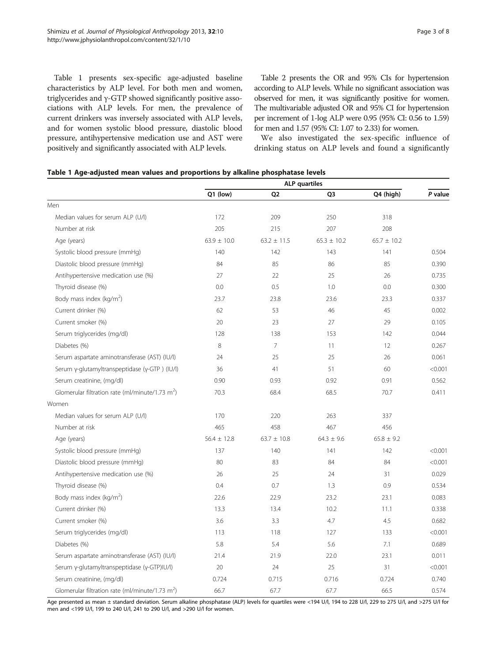Table 1 presents sex-specific age-adjusted baseline characteristics by ALP level. For both men and women, triglycerides and γ-GTP showed significantly positive associations with ALP levels. For men, the prevalence of current drinkers was inversely associated with ALP levels, and for women systolic blood pressure, diastolic blood pressure, antihypertensive medication use and AST were positively and significantly associated with ALP levels.

Table [2](#page-3-0) presents the OR and 95% CIs for hypertension according to ALP levels. While no significant association was observed for men, it was significantly positive for women. The multivariable adjusted OR and 95% CI for hypertension per increment of 1-log ALP were 0.95 (95% CI: 0.56 to 1.59) for men and 1.57 (95% CI: 1.07 to 2.33) for women.

We also investigated the sex-specific influence of drinking status on ALP levels and found a significantly

|  |  |  |  |  |  | Table 1 Age-adjusted mean values and proportions by alkaline phosphatase levels |  |
|--|--|--|--|--|--|---------------------------------------------------------------------------------|--|
|--|--|--|--|--|--|---------------------------------------------------------------------------------|--|

|                                                             | <b>ALP</b> quartiles |                 |                 |                 |         |  |
|-------------------------------------------------------------|----------------------|-----------------|-----------------|-----------------|---------|--|
|                                                             | Q1 (low)             | Q <sub>2</sub>  | O <sub>3</sub>  | Q4 (high)       | P value |  |
| Men                                                         |                      |                 |                 |                 |         |  |
| Median values for serum ALP (U/l)                           | 172                  | 209             | 250             | 318             |         |  |
| Number at risk                                              | 205                  | 215             | 207             | 208             |         |  |
| Age (years)                                                 | $63.9 \pm 10.0$      | $63.2 \pm 11.5$ | $65.3 \pm 10.2$ | $65.7 \pm 10.2$ |         |  |
| Systolic blood pressure (mmHg)                              | 140                  | 142             | 143             | 141             | 0.504   |  |
| Diastolic blood pressure (mmHg)                             | 84                   | 85              | 86              | 85              | 0.390   |  |
| Antihypertensive medication use (%)                         | 27                   | 22              | 25              | 26              | 0.735   |  |
| Thyroid disease (%)                                         | 0.0                  | 0.5             | 1.0             | 0.0             | 0.300   |  |
| Body mass index (kg/m <sup>2</sup> )                        | 23.7                 | 23.8            | 23.6            | 23.3            | 0.337   |  |
| Current drinker (%)                                         | 62                   | 53              | 46              | 45              | 0.002   |  |
| Current smoker (%)                                          | 20                   | 23              | 27              | 29              | 0.105   |  |
| Serum triglycerides (mg/dl)                                 | 128                  | 138             | 153             | 142             | 0.044   |  |
| Diabetes (%)                                                | 8                    | $\overline{7}$  | 11              | 12              | 0.267   |  |
| Serum aspartate aminotransferase (AST) (IU/I)               | 24                   | 25              | 25              | 26              | 0.061   |  |
| Serum γ-glutamyltranspeptidase (γ-GTP) (IU/I)               | 36                   | 41              | 51              | 60              | < 0.001 |  |
| Serum creatinine, (mg/dl)                                   | 0.90                 | 0.93            | 0.92            | 0.91            | 0.562   |  |
| Glomerular filtration rate (ml/minute/1.73 m <sup>2</sup> ) | 70.3                 | 68.4            | 68.5            | 70.7            | 0.411   |  |
| Women                                                       |                      |                 |                 |                 |         |  |
| Median values for serum ALP (U/l)                           | 170                  | 220             | 263             | 337             |         |  |
| Number at risk                                              | 465                  | 458             | 467             | 456             |         |  |
| Age (years)                                                 | $56.4 \pm 12.8$      | $63.7 \pm 10.8$ | $64.3 \pm 9.6$  | $65.8 \pm 9.2$  |         |  |
| Systolic blood pressure (mmHg)                              | 137                  | 140             | 141             | 142             | < 0.001 |  |
| Diastolic blood pressure (mmHg)                             | 80                   | 83              | 84              | 84              | < 0.001 |  |
| Antihypertensive medication use (%)                         | 26                   | 25              | 24              | 31              | 0.029   |  |
| Thyroid disease (%)                                         | 0.4                  | 0.7             | 1.3             | 0.9             | 0.534   |  |
| Body mass index (kg/m <sup>2</sup> )                        | 22.6                 | 22.9            | 23.2            | 23.1            | 0.083   |  |
| Current drinker (%)                                         | 13.3                 | 13.4            | 10.2            | 11.1            | 0.338   |  |
| Current smoker (%)                                          | 3.6                  | 3.3             | 4.7             | 4.5             | 0.682   |  |
| Serum triglycerides (mg/dl)                                 | 113                  | 118             | 127             | 133             | < 0.001 |  |
| Diabetes (%)                                                | 5.8                  | 5.4             | 5.6             | 7.1             | 0.689   |  |
| Serum aspartate aminotransferase (AST) (IU/I)               | 21.4                 | 21.9            | 22.0            | 23.1            | 0.011   |  |
| Serum γ-glutamyltranspeptidase (γ-GTP)IU/l)                 | 20                   | 24              | 25              | 31              | < 0.001 |  |
| Serum creatinine, (mg/dl)                                   | 0.724                | 0.715           | 0.716           | 0.724           | 0.740   |  |
| Glomerular filtration rate (ml/minute/1.73 m <sup>2</sup> ) | 66.7                 | 67.7            | 67.7            | 66.5            | 0.574   |  |

Age presented as mean ± standard deviation. Serum alkaline phosphatase (ALP) levels for quartiles were <194 U/l, 194 to 228 U/l, 229 to 275 U/l, and >275 U/l for men and <199 U/l, 199 to 240 U/l, 241 to 290 U/l, and >290 U/l for women.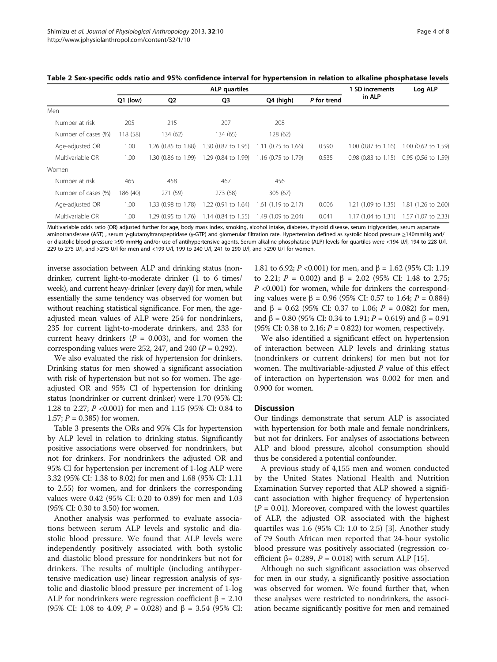|                     | <b>ALP</b> quartiles |                     |                     |                       | <b>SD</b> increments | Log ALP                  |                                         |
|---------------------|----------------------|---------------------|---------------------|-----------------------|----------------------|--------------------------|-----------------------------------------|
|                     | $Q1$ (low)           | Q <sub>2</sub>      | Q3                  | Q4 (high)             | P for trend          | in ALP                   |                                         |
| Men                 |                      |                     |                     |                       |                      |                          |                                         |
| Number at risk      | 205                  | 215                 | 207                 | 208                   |                      |                          |                                         |
| Number of cases (%) | 118 (58)             | 134 (62)            | 134 (65)            | 128(62)               |                      |                          |                                         |
| Age-adjusted OR     | 1.00                 | 1.26 (0.85 to 1.88) | 1.30 (0.87 to 1.95) | $1.11$ (0.75 to 1.66) | 0.590                | $1.00$ (0.87 to $1.16$ ) | 1.00 (0.62 to 1.59)                     |
| Multivariable OR    | 1.00                 | 1.30 (0.86 to 1.99) | 1.29 (0.84 to 1.99) | 1.16 (0.75 to 1.79)   | 0.535                | $0.98$ (0.83 to 1.15)    | 0.95 (0.56 to 1.59)                     |
| Women               |                      |                     |                     |                       |                      |                          |                                         |
| Number at risk      | 465                  | 458                 | 467                 | 456                   |                      |                          |                                         |
| Number of cases (%) | 186 (40)             | 271 (59)            | 273 (58)            | 305(67)               |                      |                          |                                         |
| Age-adjusted OR     | 1.00                 | 1.33 (0.98 to 1.78) | 1.22 (0.91 to 1.64) | $1.61$ (1.19 to 2.17) | 0.006                | 1.21 (1.09 to 1.35)      | 1.81 (1.26 to 2.60)                     |
| Multivariable OR    | 1.00                 | 1.29 (0.95 to 1.76) | 1.14 (0.84 to 1.55) | 1.49 (1.09 to 2.04)   | 0.041                |                          | 1.17 (1.04 to 1.31) 1.57 (1.07 to 2.33) |

<span id="page-3-0"></span>Table 2 Sex-specific odds ratio and 95% confidence interval for hypertension in relation to alkaline phosphatase levels

Multivariable odds ratio (OR) adjusted further for age, body mass index, smoking, alcohol intake, diabetes, thyroid disease, serum triglycerides, serum aspartate aminotransferase (AST) , serum γ-glutamyltranspeptidase (γ-GTP) and glomerular filtration rate. Hypertension defined as systolic blood pressure ≥140mmHg and/ or diastolic blood pressure ≥90 mmHg and/or use of antihypertensive agents. Serum alkaline phosphatase (ALP) levels for quartiles were <194 U/l, 194 to 228 U/l, 229 to 275 U/l, and >275 U/l for men and <199 U/l, 199 to 240 U/l, 241 to 290 U/l, and >290 U/l for women.

inverse association between ALP and drinking status (nondrinker, current light-to-moderate drinker (1 to 6 times/ week), and current heavy-drinker (every day)) for men, while essentially the same tendency was observed for women but without reaching statistical significance. For men, the ageadjusted mean values of ALP were 254 for nondrinkers, 235 for current light-to-moderate drinkers, and 233 for current heavy drinkers ( $P = 0.003$ ), and for women the corresponding values were 252, 247, and 240 ( $P = 0.292$ ).

We also evaluated the risk of hypertension for drinkers. Drinking status for men showed a significant association with risk of hypertension but not so for women. The ageadjusted OR and 95% CI of hypertension for drinking status (nondrinker or current drinker) were 1.70 (95% CI: 1.28 to 2.27; P <0.001) for men and 1.15 (95% CI: 0.84 to 1.57;  $P = 0.385$  for women.

Table [3](#page-4-0) presents the ORs and 95% CIs for hypertension by ALP level in relation to drinking status. Significantly positive associations were observed for nondrinkers, but not for drinkers. For nondrinkers the adjusted OR and 95% CI for hypertension per increment of 1-log ALP were 3.32 (95% CI: 1.38 to 8.02) for men and 1.68 (95% CI: 1.11 to 2.55) for women, and for drinkers the corresponding values were 0.42 (95% CI: 0.20 to 0.89) for men and 1.03 (95% CI: 0.30 to 3.50) for women.

Another analysis was performed to evaluate associations between serum ALP levels and systolic and diastolic blood pressure. We found that ALP levels were independently positively associated with both systolic and diastolic blood pressure for nondrinkers but not for drinkers. The results of multiple (including antihypertensive medication use) linear regression analysis of systolic and diastolic blood pressure per increment of 1-log ALP for nondrinkers were regression coefficient  $\beta = 2.10$ (95% CI: 1.08 to 4.09;  $P = 0.028$ ) and  $\beta = 3.54$  (95% CI:

1.81 to 6.92; P < 0.001) for men, and β = 1.62 (95% CI: 1.19 to 2.21;  $P = 0.002$ ) and  $β = 2.02$  (95% CI: 1.48 to 2.75;  $P$  <0.001) for women, while for drinkers the corresponding values were β = 0.96 (95% CI: 0.57 to 1.64;  $P = 0.884$ ) and β = 0.62 (95% CI: 0.37 to 1.06;  $P = 0.082$ ) for men, and β = 0.80 (95% CI: 0.34 to 1.91;  $P = 0.619$ ) and β = 0.91 (95% CI: 0.38 to 2.16;  $P = 0.822$ ) for women, respectively.

We also identified a significant effect on hypertension of interaction between ALP levels and drinking status (nondrinkers or current drinkers) for men but not for women. The multivariable-adjusted P value of this effect of interaction on hypertension was 0.002 for men and 0.900 for women.

## **Discussion**

Our findings demonstrate that serum ALP is associated with hypertension for both male and female nondrinkers, but not for drinkers. For analyses of associations between ALP and blood pressure, alcohol consumption should thus be considered a potential confounder.

A previous study of 4,155 men and women conducted by the United States National Health and Nutrition Examination Survey reported that ALP showed a significant association with higher frequency of hypertension  $(P = 0.01)$ . Moreover, compared with the lowest quartiles of ALP, the adjusted OR associated with the highest quartiles was 1.6 (95% CI: 1.0 to 2.5) [\[3](#page-6-0)]. Another study of 79 South African men reported that 24-hour systolic blood pressure was positively associated (regression coefficient  $\beta$ = 0.289, *P* = 0.018) with serum ALP [\[15\]](#page-6-0).

Although no such significant association was observed for men in our study, a significantly positive association was observed for women. We found further that, when these analyses were restricted to nondrinkers, the association became significantly positive for men and remained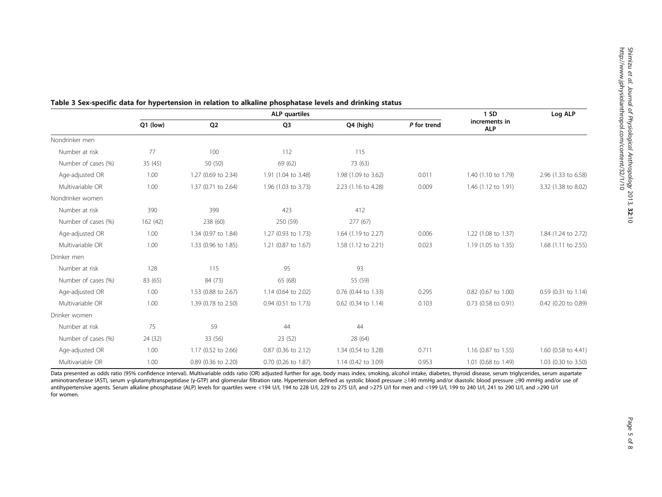|                     | <b>ALP</b> quartiles |                     |                     |                     |             | 1SD                         | Log ALP             |
|---------------------|----------------------|---------------------|---------------------|---------------------|-------------|-----------------------------|---------------------|
|                     | Q1 (low)             | Q <sub>2</sub>      | Q <sub>3</sub>      | Q4 (high)           | P for trend | increments in<br><b>ALP</b> |                     |
| Nondrinker men      |                      |                     |                     |                     |             |                             |                     |
| Number at risk      | 77                   | 100                 | 112                 | 115                 |             |                             |                     |
| Number of cases (%) | 35 (45)              | 50 (50)             | 69 (62)             | 73 (63)             |             |                             |                     |
| Age-adjusted OR     | 1.00                 | 1.27 (0.69 to 2.34) | 1.91 (1.04 to 3.48) | 1.98 (1.09 to 3.62) | 0.011       | 1.40 (1.10 to 1.79)         | 2.96 (1.33 to 6.58) |
| Multivariable OR    | 1.00                 | 1.37 (0.71 to 2.64) | 1.96 (1.03 to 3.73) | 2.23 (1.16 to 4.28) | 0.009       | 1.46 (1.12 to 1.91)         | 3.32 (1.38 to 8.02) |
| Nondrinker women    |                      |                     |                     |                     |             |                             |                     |
| Number at risk      | 390                  | 399                 | 423                 | 412                 |             |                             |                     |
| Number of cases (%) | 162 (42)             | 238 (60)            | 250 (59)            | 277(67)             |             |                             |                     |
| Age-adjusted OR     | 1.00                 | 1.34 (0.97 to 1.84) | 1.27 (0.93 to 1.73) | 1.64 (1.19 to 2.27) | 0.006       | 1.22 (1.08 to 1.37)         | 1.84 (1.24 to 2.72) |
| Multivariable OR    | 1.00                 | 1.33 (0.96 to 1.85) | 1.21 (0.87 to 1.67) | 1.58 (1.12 to 2.21) | 0.023       | 1.19 (1.05 to 1.35)         | 1.68 (1.11 to 2.55) |
| Drinker men         |                      |                     |                     |                     |             |                             |                     |
| Number at risk      | 128                  | 115                 | 95                  | 93                  |             |                             |                     |
| Number of cases (%) | 83 (65)              | 84 (73)             | 65 (68)             | 55 (59)             |             |                             |                     |
| Age-adjusted OR     | 1.00                 | 1.53 (0.88 to 2.67) | 1.14 (0.64 to 2.02) | 0.76 (0.44 to 1.33) | 0.295       | 0.82 (0.67 to 1.00)         | 0.59 (0.31 to 1.14) |
| Multivariable OR    | 1.00                 | 1.39 (0.78 to 2.50) | 0.94 (0.51 to 1.73) | 0.62 (0.34 to 1.14) | 0.103       | 0.73 (0.58 to 0.91)         | 0.42 (0.20 to 0.89) |
| Drinker women       |                      |                     |                     |                     |             |                             |                     |
| Number at risk      | 75                   | 59                  | 44                  | 44                  |             |                             |                     |
| Number of cases (%) | 24 (32)              | 33 (56)             | 23(52)              | 28 (64)             |             |                             |                     |
| Age-adjusted OR     | 1.00                 | 1.17 (0.52 to 2.66) | 0.87 (0.36 to 2.12) | 1.34 (0.54 to 3.28) | 0.711       | 1.16 (0.87 to 1.55)         | 1.60 (0.58 to 4.41) |
| Multivariable OR    | 1.00                 | 0.89 (0.36 to 2.20) | 0.70 (0.26 to 1.87) | 1.14 (0.42 to 3.09) | 0.953       | 1.01 (0.68 to 1.49)         | 1.03 (0.30 to 3.50) |

#### <span id="page-4-0"></span>Table 3 Sex-specific data for hypertension in relation to alkaline phosphatase levels and drinking status

Data presented as odds ratio (95% confidence interval). Multivariable odds ratio (OR) adjusted further for age, body mass index, smoking, alcohol intake, diabetes, thyroid disease, serum triglycerides, serum aspartate aminotransferase (AST), serum γ-glutamyltranspeptidase (γ-GTP) and glomerular filtration rate. Hypertension defined as systolic blood pressure ≥140 mmHg and/or diastolic blood pressure ≥90 mmHg and/or use of antihypertensive agents. Serum alkaline phosphatase (ALP) levels for quartiles were <194 U/l, 194 to 228 U/l, 229 to 275 U/l, and >275 U/l for men and <199 U/l, 199 to 240 U/l, 241 to 290 U/l, and >290 U/l for women.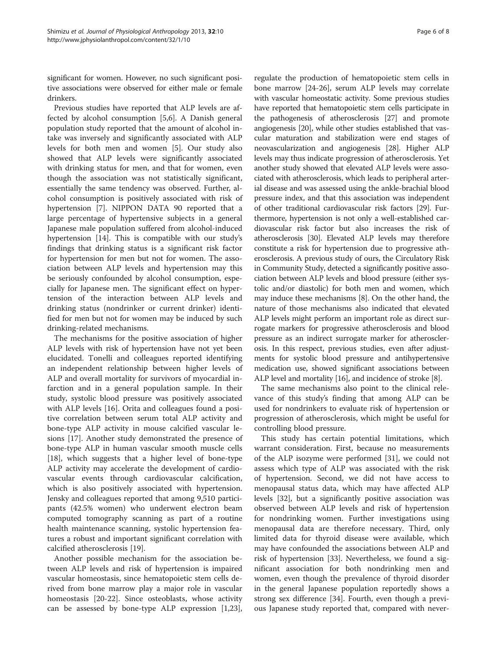significant for women. However, no such significant positive associations were observed for either male or female drinkers.

Previous studies have reported that ALP levels are affected by alcohol consumption [[5,6\]](#page-6-0). A Danish general population study reported that the amount of alcohol intake was inversely and significantly associated with ALP levels for both men and women [\[5](#page-6-0)]. Our study also showed that ALP levels were significantly associated with drinking status for men, and that for women, even though the association was not statistically significant, essentially the same tendency was observed. Further, alcohol consumption is positively associated with risk of hypertension [\[7](#page-6-0)]. NIPPON DATA 90 reported that a large percentage of hypertensive subjects in a general Japanese male population suffered from alcohol-induced hypertension [[14](#page-6-0)]. This is compatible with our study's findings that drinking status is a significant risk factor for hypertension for men but not for women. The association between ALP levels and hypertension may this be seriously confounded by alcohol consumption, especially for Japanese men. The significant effect on hypertension of the interaction between ALP levels and drinking status (nondrinker or current drinker) identified for men but not for women may be induced by such drinking-related mechanisms.

The mechanisms for the positive association of higher ALP levels with risk of hypertension have not yet been elucidated. Tonelli and colleagues reported identifying an independent relationship between higher levels of ALP and overall mortality for survivors of myocardial infarction and in a general population sample. In their study, systolic blood pressure was positively associated with ALP levels [\[16](#page-6-0)]. Orita and colleagues found a positive correlation between serum total ALP activity and bone-type ALP activity in mouse calcified vascular lesions [\[17](#page-6-0)]. Another study demonstrated the presence of bone-type ALP in human vascular smooth muscle cells [[18\]](#page-6-0), which suggests that a higher level of bone-type ALP activity may accelerate the development of cardiovascular events through cardiovascular calcification, which is also positively associated with hypertension. Jensky and colleagues reported that among 9,510 participants (42.5% women) who underwent electron beam computed tomography scanning as part of a routine health maintenance scanning, systolic hypertension features a robust and important significant correlation with calcified atherosclerosis [\[19\]](#page-6-0).

Another possible mechanism for the association between ALP levels and risk of hypertension is impaired vascular homeostasis, since hematopoietic stem cells derived from bone marrow play a major role in vascular homeostasis [\[20](#page-6-0)-[22\]](#page-6-0). Since osteoblasts, whose activity can be assessed by bone-type ALP expression [\[1,23](#page-6-0)],

regulate the production of hematopoietic stem cells in bone marrow [[24](#page-6-0)[-26](#page-7-0)], serum ALP levels may correlate with vascular homeostatic activity. Some previous studies have reported that hematopoietic stem cells participate in the pathogenesis of atherosclerosis [[27](#page-7-0)] and promote angiogenesis [[20](#page-6-0)], while other studies established that vascular maturation and stabilization were end stages of neovascularization and angiogenesis [[28](#page-7-0)]. Higher ALP levels may thus indicate progression of atherosclerosis. Yet another study showed that elevated ALP levels were associated with atherosclerosis, which leads to peripheral arterial disease and was assessed using the ankle-brachial blood pressure index, and that this association was independent of other traditional cardiovascular risk factors [\[29\]](#page-7-0). Furthermore, hypertension is not only a well-established cardiovascular risk factor but also increases the risk of atherosclerosis [[30](#page-7-0)]. Elevated ALP levels may therefore constitute a risk for hypertension due to progressive atherosclerosis. A previous study of ours, the Circulatory Risk in Community Study, detected a significantly positive association between ALP levels and blood pressure (either systolic and/or diastolic) for both men and women, which may induce these mechanisms [[8](#page-6-0)]. On the other hand, the nature of those mechanisms also indicated that elevated ALP levels might perform an important role as direct surrogate markers for progressive atherosclerosis and blood pressure as an indirect surrogate marker for atherosclerosis. In this respect, previous studies, even after adjustments for systolic blood pressure and antihypertensive medication use, showed significant associations between ALP level and mortality [[16](#page-6-0)], and incidence of stroke [\[8\]](#page-6-0).

The same mechanisms also point to the clinical relevance of this study's finding that among ALP can be used for nondrinkers to evaluate risk of hypertension or progression of atherosclerosis, which might be useful for controlling blood pressure.

This study has certain potential limitations, which warrant consideration. First, because no measurements of the ALP isozyme were performed [\[31](#page-7-0)], we could not assess which type of ALP was associated with the risk of hypertension. Second, we did not have access to menopausal status data, which may have affected ALP levels [\[32](#page-7-0)], but a significantly positive association was observed between ALP levels and risk of hypertension for nondrinking women. Further investigations using menopausal data are therefore necessary. Third, only limited data for thyroid disease were available, which may have confounded the associations between ALP and risk of hypertension [\[33](#page-7-0)]. Nevertheless, we found a significant association for both nondrinking men and women, even though the prevalence of thyroid disorder in the general Japanese population reportedly shows a strong sex difference [\[34](#page-7-0)]. Fourth, even though a previous Japanese study reported that, compared with never-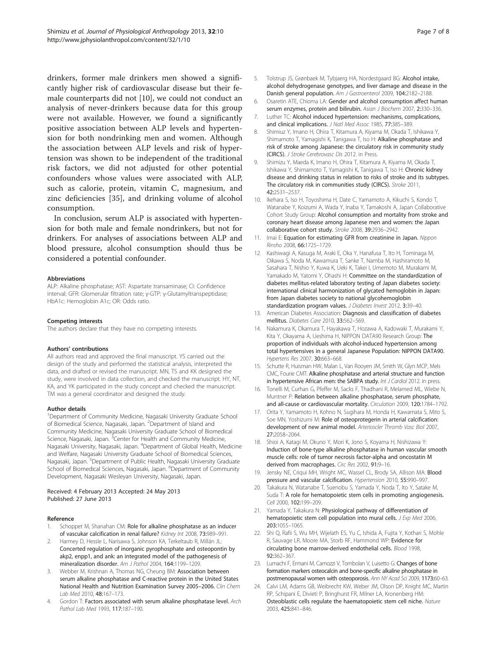<span id="page-6-0"></span>drinkers, former male drinkers men showed a significantly higher risk of cardiovascular disease but their female counterparts did not [10], we could not conduct an analysis of never-drinkers because data for this group were not available. However, we found a significantly positive association between ALP levels and hypertension for both nondrinking men and women. Although the association between ALP levels and risk of hypertension was shown to be independent of the traditional risk factors, we did not adjusted for other potential confounders whose values were associated with ALP, such as calorie, protein, vitamin C, magnesium, and zinc deficiencies [[35\]](#page-7-0), and drinking volume of alcohol consumption.

In conclusion, serum ALP is associated with hypertension for both male and female nondrinkers, but not for drinkers. For analyses of associations between ALP and blood pressure, alcohol consumption should thus be considered a potential confounder.

#### Abbreviations

ALP: Alkaline phosphatase; AST: Aspartate transaminase; CI: Confidence interval; GFR: Glomerular filtration rate; γ-GTP: γ-Glutamyltranspeptidase; HbA1c: Hemoglobin A1c; OR: Odds ratio.

#### Competing interests

The authors declare that they have no competing interests.

#### Authors' contributions

All authors read and approved the final manuscript. YS carried out the design of the study and performed the statistical analysis, interpreted the data, and drafted or revised the manuscript. MN, TS and KK designed the study, were involved in data collection, and checked the manuscript. HY, NT, KA, and YK participated in the study concept and checked the manuscript. TM was a general coordinator and designed the study.

#### Author details

<sup>1</sup>Department of Community Medicine, Nagasaki University Graduate School of Biomedical Science, Nagasaki, Japan. <sup>2</sup>Department of Island and Community Medicine, Nagasaki University Graduate School of Biomedical Science, Nagasaki, Japan. <sup>3</sup>Center for Health and Community Medicine, Nagasaki University, Nagasaki, Japan. <sup>4</sup>Department of Global Health, Medicine and Welfare, Nagasaki University Graduate School of Biomedical Sciences, Nagasaki, Japan. <sup>5</sup>Department of Public Health, Nagasaki University Graduate School of Biomedical Sciences, Nagasaki, Japan. <sup>6</sup>Department of Community Development, Nagasaki Wesleyan University, Nagasaki, Japan.

#### Received: 4 February 2013 Accepted: 24 May 2013 Published: 27 June 2013

#### Reference

- Schoppet M, Shanahan CM: Role for alkaline phosphatase as an inducer of vascukar calcification in renal failure? Kidney Int 2008, 73:989–991.
- 2. Harmey D, Hessle L, Narisawa S, Johnson KA, Terkeltaub R, Millán JL: Concerted regulation of inorganic pyrophosphate and osteopontin by akp2, enpp1, and ank: an integrated model of the pathogenesis of mineralization disorder. Am J Pathol 2004, 164:1199–1209.
- Webber M, Krishnan A, Thomas NG, Cheung BM: Association between serum alkaline phosphatase and C-reactive protein in the United States National Health and Nutrition Examination Survey 2005–2006. Clin Chem Lab Med 2010, 48:167–173.
- 4. Gordon T: Factors associated with serum alkaline phosphatase level. Arch Pathol Lab Med 1993, 117:187–190.
- 5. Tolstrup JS, Grønbaek M, Tybjaerg HA, Nordestgaard BG: Alcohol intake, alcohol dehydrogenase genotypes, and liver damage and disease in the Danish general population. Am J Gastroenterol 2009, 104:2182–2188.
- Osaretin ATE, Chioma LA: Gender and alcohol consumption affect human serum enzymes, protein and bilirubin. Asian J Biochem 2007, 2:330-336.
- 7. Luther TC: Alcohol induced hypertension: mechanisms, complications, and clinical implications. J Natl Med Assoc 1985, 77:385-389.
- 8. Shimiuz Y, Imano H, Ohira T, Kitamura A, Kiyama M, Okada T, Ishikawa Y, Shimamoto T, Yamagishi K, Tanigawa T, Iso H: Alkaline phosphatase and risk of stroke among Japanese: the circulatory risk in community study (CIRCS). J Stroke Cerebrovasc Dis 2012. in Press.
- 9. Shimizu Y, Maeda K, Imano H, Ohira T, Kitamura A, Kiyama M, Okada T, Ishikawa Y, Shimamoto T, Yamagishi K, Tanigawa T, Iso H: Chronic kidney disease and drinking status in relation to risks of stroke and its subtypes. The circulatory risk in communities study (CIRCS). Stroke 2011, 42:2531–2537.
- 10. Ikehara S, Iso H, Toyoshima H, Date C, Yamamoto A, Kikuchi S, Kondo T, Watanabe Y, Koizumi A, Wada Y, Inaba Y, Tamakoshi A, Japan Collaborative Cohort Study Group: Alcohol consumption and mortality from stroke and coronary heart disease among Japanese men and women: the Japan collaborative cohort study. Stroke 2008, 39:2936–2942.
- 11. Imai E: Equation for estimating GFR from creatinine in Japan. Nippon Rinsho 2008, 66:1725–1729.
- 12. Kashiwagi A, Kasuga M, Araki E, Oka Y, Hanafusa T, Ito H, Tominaga M, Oikawa S, Noda M, Kawamura T, Sanke T, Namba M, Hashiramoto M, Sasahara T, Nishio Y, Kuwa K, Ueki K, Takei I, Umemoto M, Murakami M, Yamakado M, Yatomi Y, Ohashi H: Committee on the standardization of diabetes mellitus-related laboratory testing of Japan diabetes society: international clinical harmonization of glycated hemoglobin in Japan: from Japan diabetes society to national glycohemoglobin standardization program values. J Diabetes Invest 2012, 3:39-40.
- 13. American Diabetes Association: Diagnosis and classification of diabetes mellitus. Diabetes Care 2010, 33:562–569.
- 14. Nakamura K, Okamura T, Hayakawa T, Hozawa A, Kadowaki T, Murakami Y, Kita Y, Okayama A, Ueshima H, NIPPON DATA90 Research Group: The proportion of individuals with alcohol-induced hypertension among total hypertensives in a general Japanese Population: NIPPON DATA90. Hypertens Res 2007, 30:663–668.
- 15. Schutte R, Huisman HW, Malan L, Van Rooyen JM, Smith W, Glyn MCP, Mels CMC, Fourie CMT: Alkaline phosphatase and arterial structure and function in hypertensive African men: the SABPA study. Int J Cardiol 2012. in press.
- 16. Tonelli M, Curhan G, Pfeffer M, Sacks F, Thadhani R, Melamed ML, Wiebe N, Muntner P: Relation between alkaline phosphatase, serum phosphate, and all-cause or cardiovascular mortality. Circulation 2009, 120:1784–1792.
- 17. Orita Y, Yamamoto H, Kohno N, Sugihara M, Honda H, Kawamata S, Mito S, Soe MN, Yoshizumi M: Role of osteoprotegerin in arterial calcification: development of new animal model. Arterioscler Thromb Vasc Biol 2007, 27:2058–2064.
- 18. Shioi A, Katagi M, Okuno Y, Mori K, Jono S, Koyama H, Nishizawa Y: Induction of bone-type alkaline phosphatase in human vascular smooth muscle cells: role of tumor necrosis factor-alpha and oncostatin M derived from macrophages. Circ Res 2002, 91:9-16.
- 19. Jensky NE, Criqui MH, Wright MC, Wassel CL, Brody SA, Allison MA: Blood pressure and vascular calcification. Hypertension 2010, 55:990–997.
- 20. Takakura N, Watanabe T, Suenobu S, Yamada Y, Noda T, Ito Y, Satake M, Suda T: A role for hematopoietic stem cells in promoting angiogenesis. Cell 2000, 102:199–209.
- 21. Yamada Y, Takakura N: Physiological pathway of differentiation of hematopoietic stem cell population into mural cells. J Exp Med 2006, 203:1055–1065.
- 22. Shi Q, Rafii S, Wu MH, Wijelath ES, Yu C, Ishida A, Fujita Y, Kothari S, Mohle R, Sauvage LR, Moore MA, Storb RF, Hammond WP: Evidence for circulating bone marrow-derived endothelial cells. Blood 1998, 92:362–367.
- 23. Lumachi F, Ermani M, Camozzi V, Tombolan V, Luisetto G: Changes of bone formation markers osteocalcin and bone-specific alkaline phosphatase in postmenopausal women with osteoporosis. Ann NY Acad Sci 2009, 1173:60-63.
- 24. Calvi LM, Adams GB, Weibrecht KW, Weber JM, Olson DP, Knight MC, Martin RP, Schipani E, Divieti P, Bringhurst FR, Milner LA, Kronenberg HM: Osteoblastic cells regulate the haematopoietic stem cell niche. Nature 2003, 425:841–846.